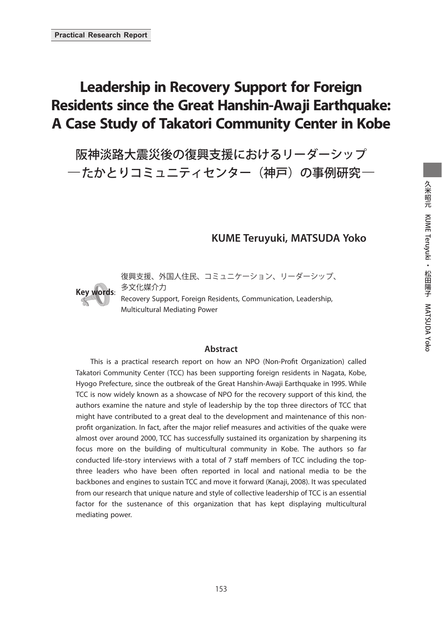# **Leadership in Recovery Support for Foreign Residents since the Great Hanshin-Awaji Earthquake: A Case Study of Takatori Community Center in Kobe**

阪神淡路大震災後の復興支援におけるリーダーシップ ―たかとりコミュニティセンター(神戸)の事例研究―

## **KUME Teruyuki, MATSUDA Yoko**



復興支援、外国人住民、コミュニケーション、リーダーシップ、 多文化媒介力 Recovery Support, Foreign Residents, Communication, Leadership, Multicultural Mediating Power

#### **Abstract**

This is a practical research report on how an NPO (Non-Profit Organization) called Takatori Community Center (TCC) has been supporting foreign residents in Nagata, Kobe, Hyogo Prefecture, since the outbreak of the Great Hanshin-Awaji Earthquake in 1995. While TCC is now widely known as a showcase of NPO for the recovery support of this kind, the authors examine the nature and style of leadership by the top three directors of TCC that might have contributed to a great deal to the development and maintenance of this nonprofit organization. In fact, after the major relief measures and activities of the quake were almost over around 2000, TCC has successfully sustained its organization by sharpening its focus more on the building of multicultural community in Kobe. The authors so far conducted life-story interviews with a total of 7 staff members of TCC including the topthree leaders who have been often reported in local and national media to be the backbones and engines to sustain TCC and move it forward (Kanaji, 2008). It was speculated from our research that unique nature and style of collective leadership of TCC is an essential factor for the sustenance of this organization that has kept displaying multicultural mediating power.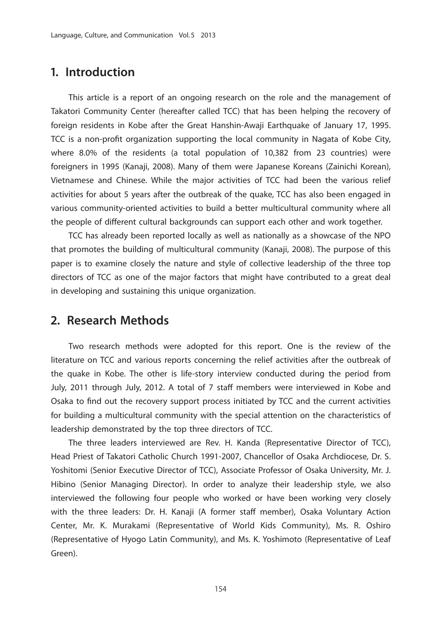## **1. Introduction**

 This article is a report of an ongoing research on the role and the management of Takatori Community Center (hereafter called TCC) that has been helping the recovery of foreign residents in Kobe after the Great Hanshin-Awaji Earthquake of January 17, 1995. TCC is a non-profit organization supporting the local community in Nagata of Kobe City, where 8.0% of the residents (a total population of 10,382 from 23 countries) were foreigners in 1995 (Kanaji, 2008). Many of them were Japanese Koreans (Zainichi Korean), Vietnamese and Chinese. While the major activities of TCC had been the various relief activities for about 5 years after the outbreak of the quake, TCC has also been engaged in various community-oriented activities to build a better multicultural community where all the people of different cultural backgrounds can support each other and work together.

 TCC has already been reported locally as well as nationally as a showcase of the NPO that promotes the building of multicultural community (Kanaji, 2008). The purpose of this paper is to examine closely the nature and style of collective leadership of the three top directors of TCC as one of the major factors that might have contributed to a great deal in developing and sustaining this unique organization.

## **2. Research Methods**

 Two research methods were adopted for this report. One is the review of the literature on TCC and various reports concerning the relief activities after the outbreak of the quake in Kobe. The other is life-story interview conducted during the period from July, 2011 through July, 2012. A total of 7 staff members were interviewed in Kobe and Osaka to find out the recovery support process initiated by TCC and the current activities for building a multicultural community with the special attention on the characteristics of leadership demonstrated by the top three directors of TCC.

 The three leaders interviewed are Rev. H. Kanda (Representative Director of TCC), Head Priest of Takatori Catholic Church 1991-2007, Chancellor of Osaka Archdiocese, Dr. S. Yoshitomi (Senior Executive Director of TCC), Associate Professor of Osaka University, Mr. J. Hibino (Senior Managing Director). In order to analyze their leadership style, we also interviewed the following four people who worked or have been working very closely with the three leaders: Dr. H. Kanaji (A former staff member), Osaka Voluntary Action Center, Mr. K. Murakami (Representative of World Kids Community), Ms. R. Oshiro (Representative of Hyogo Latin Community), and Ms. K. Yoshimoto (Representative of Leaf Green).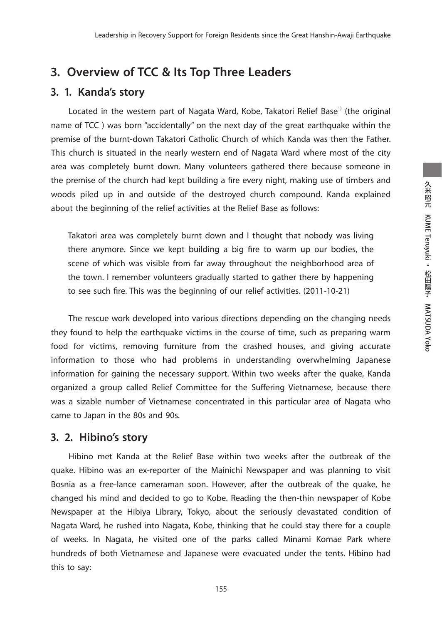## **3. Overview of TCC & Its Top Three Leaders**

### **3. 1. Kanda's story**

Located in the western part of Nagata Ward, Kobe, Takatori Relief Base<sup>1)</sup> (the original name of TCC ) was born "accidentally" on the next day of the great earthquake within the premise of the burnt-down Takatori Catholic Church of which Kanda was then the Father. This church is situated in the nearly western end of Nagata Ward where most of the city area was completely burnt down. Many volunteers gathered there because someone in the premise of the church had kept building a fire every night, making use of timbers and woods piled up in and outside of the destroyed church compound. Kanda explained about the beginning of the relief activities at the Relief Base as follows:

Takatori area was completely burnt down and I thought that nobody was living there anymore. Since we kept building a big fire to warm up our bodies, the scene of which was visible from far away throughout the neighborhood area of the town. I remember volunteers gradually started to gather there by happening to see such fire. This was the beginning of our relief activities. (2011-10-21)

 The rescue work developed into various directions depending on the changing needs they found to help the earthquake victims in the course of time, such as preparing warm food for victims, removing furniture from the crashed houses, and giving accurate information to those who had problems in understanding overwhelming Japanese information for gaining the necessary support. Within two weeks after the quake, Kanda organized a group called Relief Committee for the Suffering Vietnamese, because there was a sizable number of Vietnamese concentrated in this particular area of Nagata who came to Japan in the 80s and 90s.

#### **3. 2. Hibino's story**

 Hibino met Kanda at the Relief Base within two weeks after the outbreak of the quake. Hibino was an ex-reporter of the Mainichi Newspaper and was planning to visit Bosnia as a free-lance cameraman soon. However, after the outbreak of the quake, he changed his mind and decided to go to Kobe. Reading the then-thin newspaper of Kobe Newspaper at the Hibiya Library, Tokyo, about the seriously devastated condition of Nagata Ward, he rushed into Nagata, Kobe, thinking that he could stay there for a couple of weeks. In Nagata, he visited one of the parks called Minami Komae Park where hundreds of both Vietnamese and Japanese were evacuated under the tents. Hibino had this to say: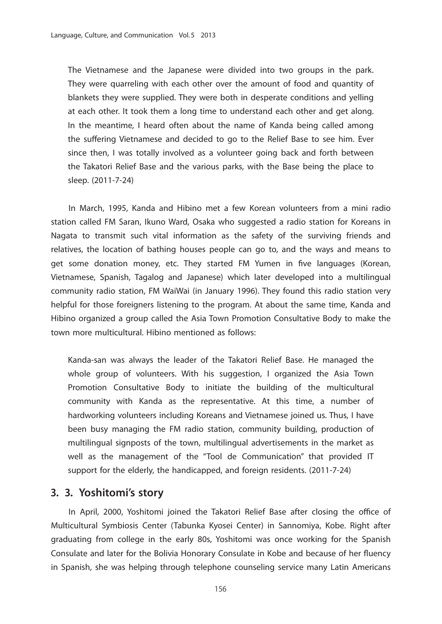The Vietnamese and the Japanese were divided into two groups in the park. They were quarreling with each other over the amount of food and quantity of blankets they were supplied. They were both in desperate conditions and yelling at each other. It took them a long time to understand each other and get along. In the meantime, I heard often about the name of Kanda being called among the suffering Vietnamese and decided to go to the Relief Base to see him. Ever since then, I was totally involved as a volunteer going back and forth between the Takatori Relief Base and the various parks, with the Base being the place to sleep. (2011-7-24)

 In March, 1995, Kanda and Hibino met a few Korean volunteers from a mini radio station called FM Saran, Ikuno Ward, Osaka who suggested a radio station for Koreans in Nagata to transmit such vital information as the safety of the surviving friends and relatives, the location of bathing houses people can go to, and the ways and means to get some donation money, etc. They started FM Yumen in five languages (Korean, Vietnamese, Spanish, Tagalog and Japanese) which later developed into a multilingual community radio station, FM WaiWai (in January 1996). They found this radio station very helpful for those foreigners listening to the program. At about the same time, Kanda and Hibino organized a group called the Asia Town Promotion Consultative Body to make the town more multicultural. Hibino mentioned as follows:

Kanda-san was always the leader of the Takatori Relief Base. He managed the whole group of volunteers. With his suggestion, I organized the Asia Town Promotion Consultative Body to initiate the building of the multicultural community with Kanda as the representative. At this time, a number of hardworking volunteers including Koreans and Vietnamese joined us. Thus, I have been busy managing the FM radio station, community building, production of multilingual signposts of the town, multilingual advertisements in the market as well as the management of the "Tool de Communication" that provided IT support for the elderly, the handicapped, and foreign residents. (2011-7-24)

### **3. 3. Yoshitomi's story**

In April, 2000, Yoshitomi joined the Takatori Relief Base after closing the office of Multicultural Symbiosis Center (Tabunka Kyosei Center) in Sannomiya, Kobe. Right after graduating from college in the early 80s, Yoshitomi was once working for the Spanish Consulate and later for the Bolivia Honorary Consulate in Kobe and because of her fluency in Spanish, she was helping through telephone counseling service many Latin Americans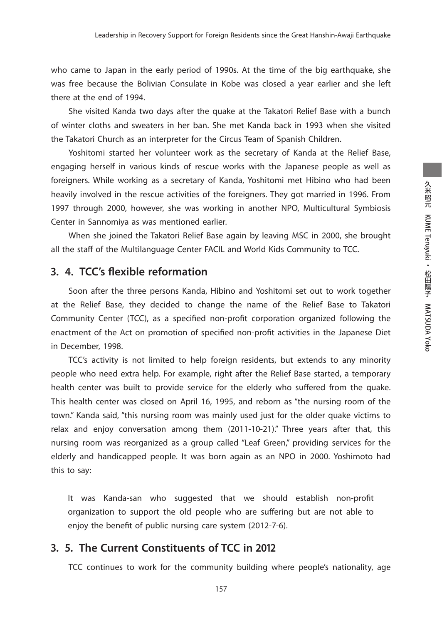who came to Japan in the early period of 1990s. At the time of the big earthquake, she was free because the Bolivian Consulate in Kobe was closed a year earlier and she left there at the end of 1994.

 She visited Kanda two days after the quake at the Takatori Relief Base with a bunch of winter cloths and sweaters in her ban. She met Kanda back in 1993 when she visited the Takatori Church as an interpreter for the Circus Team of Spanish Children.

 Yoshitomi started her volunteer work as the secretary of Kanda at the Relief Base, engaging herself in various kinds of rescue works with the Japanese people as well as foreigners. While working as a secretary of Kanda, Yoshitomi met Hibino who had been heavily involved in the rescue activities of the foreigners. They got married in 1996. From 1997 through 2000, however, she was working in another NPO, Multicultural Symbiosis Center in Sannomiya as was mentioned earlier.

 When she joined the Takatori Relief Base again by leaving MSC in 2000, she brought all the staff of the Multilanguage Center FACIL and World Kids Community to TCC.

## **3. 4. TCC's flexible reformation**

 Soon after the three persons Kanda, Hibino and Yoshitomi set out to work together at the Relief Base, they decided to change the name of the Relief Base to Takatori Community Center (TCC), as a specified non-profit corporation organized following the enactment of the Act on promotion of specified non-profit activities in the Japanese Diet in December, 1998.

 TCC's activity is not limited to help foreign residents, but extends to any minority people who need extra help. For example, right after the Relief Base started, a temporary health center was built to provide service for the elderly who suffered from the quake. This health center was closed on April 16, 1995, and reborn as "the nursing room of the town." Kanda said, "this nursing room was mainly used just for the older quake victims to relax and enjoy conversation among them (2011-10-21)." Three years after that, this nursing room was reorganized as a group called "Leaf Green," providing services for the elderly and handicapped people. It was born again as an NPO in 2000. Yoshimoto had this to say:

It was Kanda-san who suggested that we should establish non-profit organization to support the old people who are suffering but are not able to enjoy the benefit of public nursing care system (2012-7-6).

#### **3. 5. The Current Constituents of TCC in 2012**

TCC continues to work for the community building where people's nationality, age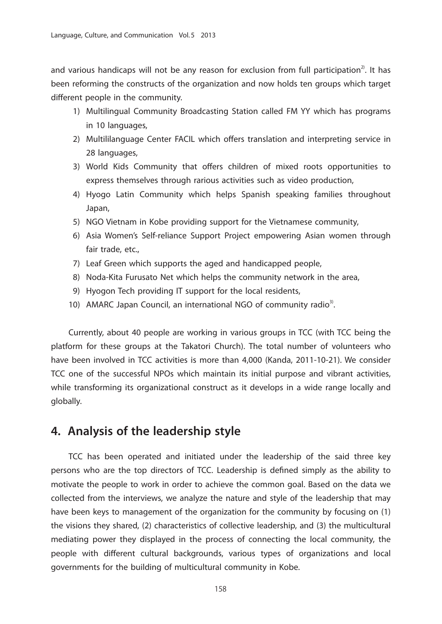and various handicaps will not be any reason for exclusion from full participation<sup>2</sup>. It has been reforming the constructs of the organization and now holds ten groups which target different people in the community.

- 1) Multilingual Community Broadcasting Station called FM YY which has programs in 10 languages,
- 2) Multililanguage Center FACIL which offers translation and interpreting service in 28 languages,
- 3) World Kids Community that offers children of mixed roots opportunities to express themselves through rarious activities such as video production,
- 4) Hyogo Latin Community which helps Spanish speaking families throughout Japan,
- 5) NGO Vietnam in Kobe providing support for the Vietnamese community,
- 6) Asia Women's Self-reliance Support Project empowering Asian women through fair trade, etc.,
- 7) Leaf Green which supports the aged and handicapped people,
- 8) Noda-Kita Furusato Net which helps the community network in the area,
- 9) Hyogon Tech providing IT support for the local residents,
- 10) AMARC Japan Council, an international NGO of community radio<sup>3)</sup>.

 Currently, about 40 people are working in various groups in TCC (with TCC being the platform for these groups at the Takatori Church). The total number of volunteers who have been involved in TCC activities is more than 4,000 (Kanda, 2011-10-21). We consider TCC one of the successful NPOs which maintain its initial purpose and vibrant activities, while transforming its organizational construct as it develops in a wide range locally and globally.

## **4. Analysis of the leadership style**

 TCC has been operated and initiated under the leadership of the said three key persons who are the top directors of TCC. Leadership is defined simply as the ability to motivate the people to work in order to achieve the common goal. Based on the data we collected from the interviews, we analyze the nature and style of the leadership that may have been keys to management of the organization for the community by focusing on (1) the visions they shared, (2) characteristics of collective leadership, and (3) the multicultural mediating power they displayed in the process of connecting the local community, the people with different cultural backgrounds, various types of organizations and local governments for the building of multicultural community in Kobe.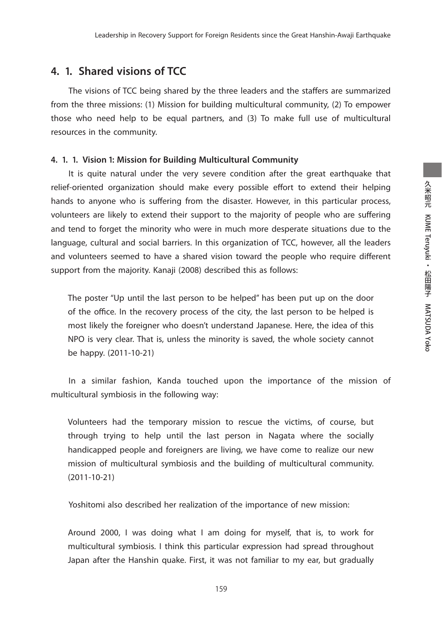Leadership in Recovery Support for Foreign Residents since the Great Hanshin-Awaji Earthquake

#### **4. 1. Shared visions of TCC**

The visions of TCC being shared by the three leaders and the staffers are summarized from the three missions: (1) Mission for building multicultural community, (2) To empower those who need help to be equal partners, and (3) To make full use of multicultural resources in the community.

#### **4. 1. 1. Vision 1: Mission for Building Multicultural Community**

 It is quite natural under the very severe condition after the great earthquake that relief-oriented organization should make every possible effort to extend their helping hands to anyone who is suffering from the disaster. However, in this particular process, volunteers are likely to extend their support to the majority of people who are suffering and tend to forget the minority who were in much more desperate situations due to the language, cultural and social barriers. In this organization of TCC, however, all the leaders and volunteers seemed to have a shared vision toward the people who require different support from the majority. Kanaji (2008) described this as follows:

The poster "Up until the last person to be helped" has been put up on the door of the office. In the recovery process of the city, the last person to be helped is most likely the foreigner who doesn't understand Japanese. Here, the idea of this NPO is very clear. That is, unless the minority is saved, the whole society cannot be happy. (2011-10-21)

 In a similar fashion, Kanda touched upon the importance of the mission of multicultural symbiosis in the following way:

Volunteers had the temporary mission to rescue the victims, of course, but through trying to help until the last person in Nagata where the socially handicapped people and foreigners are living, we have come to realize our new mission of multicultural symbiosis and the building of multicultural community. (2011-10-21)

Yoshitomi also described her realization of the importance of new mission:

Around 2000, I was doing what I am doing for myself, that is, to work for multicultural symbiosis. I think this particular expression had spread throughout Japan after the Hanshin quake. First, it was not familiar to my ear, but gradually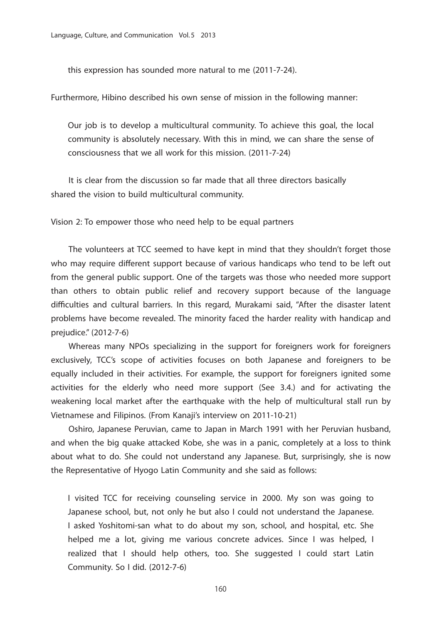this expression has sounded more natural to me (2011-7-24).

Furthermore, Hibino described his own sense of mission in the following manner:

Our job is to develop a multicultural community. To achieve this goal, the local community is absolutely necessary. With this in mind, we can share the sense of consciousness that we all work for this mission. (2011-7-24)

 It is clear from the discussion so far made that all three directors basically shared the vision to build multicultural community.

Vision 2: To empower those who need help to be equal partners

 The volunteers at TCC seemed to have kept in mind that they shouldn't forget those who may require different support because of various handicaps who tend to be left out from the general public support. One of the targets was those who needed more support than others to obtain public relief and recovery support because of the language difficulties and cultural barriers. In this regard, Murakami said, "After the disaster latent problems have become revealed. The minority faced the harder reality with handicap and prejudice." (2012-7-6)

 Whereas many NPOs specializing in the support for foreigners work for foreigners exclusively, TCC's scope of activities focuses on both Japanese and foreigners to be equally included in their activities. For example, the support for foreigners ignited some activities for the elderly who need more support (See 3.4.) and for activating the weakening local market after the earthquake with the help of multicultural stall run by Vietnamese and Filipinos. (From Kanaji's interview on 2011-10-21)

 Oshiro, Japanese Peruvian, came to Japan in March 1991 with her Peruvian husband, and when the big quake attacked Kobe, she was in a panic, completely at a loss to think about what to do. She could not understand any Japanese. But, surprisingly, she is now the Representative of Hyogo Latin Community and she said as follows:

I visited TCC for receiving counseling service in 2000. My son was going to Japanese school, but, not only he but also I could not understand the Japanese. I asked Yoshitomi-san what to do about my son, school, and hospital, etc. She helped me a lot, giving me various concrete advices. Since I was helped, I realized that I should help others, too. She suggested I could start Latin Community. So I did. (2012-7-6)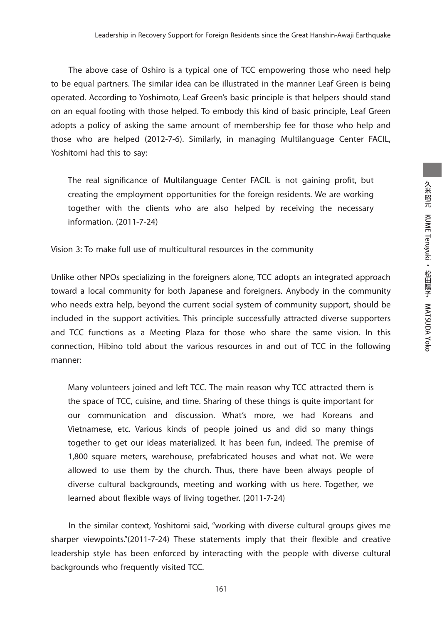The above case of Oshiro is a typical one of TCC empowering those who need help to be equal partners. The similar idea can be illustrated in the manner Leaf Green is being operated. According to Yoshimoto, Leaf Green's basic principle is that helpers should stand on an equal footing with those helped. To embody this kind of basic principle, Leaf Green adopts a policy of asking the same amount of membership fee for those who help and those who are helped (2012-7-6). Similarly, in managing Multilanguage Center FACIL, Yoshitomi had this to say:

The real significance of Multilanguage Center FACIL is not gaining profit, but creating the employment opportunities for the foreign residents. We are working together with the clients who are also helped by receiving the necessary information. (2011-7-24)

Vision 3: To make full use of multicultural resources in the community

Unlike other NPOs specializing in the foreigners alone, TCC adopts an integrated approach toward a local community for both Japanese and foreigners. Anybody in the community who needs extra help, beyond the current social system of community support, should be included in the support activities. This principle successfully attracted diverse supporters and TCC functions as a Meeting Plaza for those who share the same vision. In this connection, Hibino told about the various resources in and out of TCC in the following manner:

Many volunteers joined and left TCC. The main reason why TCC attracted them is the space of TCC, cuisine, and time. Sharing of these things is quite important for our communication and discussion. What's more, we had Koreans and Vietnamese, etc. Various kinds of people joined us and did so many things together to get our ideas materialized. It has been fun, indeed. The premise of 1,800 square meters, warehouse, prefabricated houses and what not. We were allowed to use them by the church. Thus, there have been always people of diverse cultural backgrounds, meeting and working with us here. Together, we learned about flexible ways of living together. (2011-7-24)

 In the similar context, Yoshitomi said, "working with diverse cultural groups gives me sharper viewpoints." $(2011-7-24)$  These statements imply that their flexible and creative leadership style has been enforced by interacting with the people with diverse cultural backgrounds who frequently visited TCC.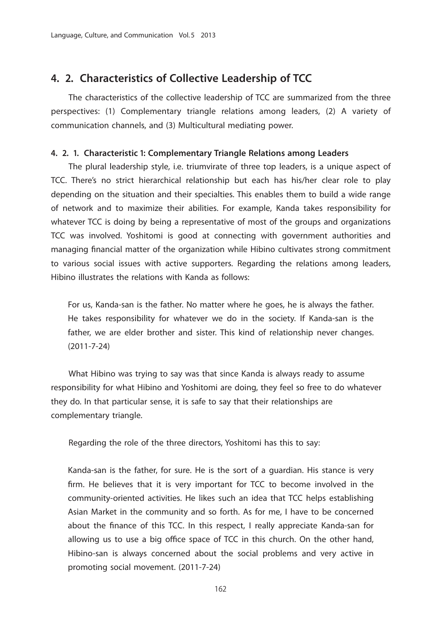### **4. 2. Characteristics of Collective Leadership of TCC**

 The characteristics of the collective leadership of TCC are summarized from the three perspectives: (1) Complementary triangle relations among leaders, (2) A variety of communication channels, and (3) Multicultural mediating power.

#### **4. 2. 1. Characteristic 1: Complementary Triangle Relations among Leaders**

 The plural leadership style, i.e. triumvirate of three top leaders, is a unique aspect of TCC. There's no strict hierarchical relationship but each has his/her clear role to play depending on the situation and their specialties. This enables them to build a wide range of network and to maximize their abilities. For example, Kanda takes responsibility for whatever TCC is doing by being a representative of most of the groups and organizations TCC was involved. Yoshitomi is good at connecting with government authorities and managing financial matter of the organization while Hibino cultivates strong commitment to various social issues with active supporters. Regarding the relations among leaders, Hibino illustrates the relations with Kanda as follows:

For us, Kanda-san is the father. No matter where he goes, he is always the father. He takes responsibility for whatever we do in the society. If Kanda-san is the father, we are elder brother and sister. This kind of relationship never changes. (2011-7-24)

 What Hibino was trying to say was that since Kanda is always ready to assume responsibility for what Hibino and Yoshitomi are doing, they feel so free to do whatever they do. In that particular sense, it is safe to say that their relationships are complementary triangle.

Regarding the role of the three directors, Yoshitomi has this to say:

Kanda-san is the father, for sure. He is the sort of a guardian. His stance is very firm. He believes that it is very important for TCC to become involved in the community-oriented activities. He likes such an idea that TCC helps establishing Asian Market in the community and so forth. As for me, I have to be concerned about the finance of this TCC. In this respect, I really appreciate Kanda-san for allowing us to use a big office space of TCC in this church. On the other hand, Hibino-san is always concerned about the social problems and very active in promoting social movement. (2011-7-24)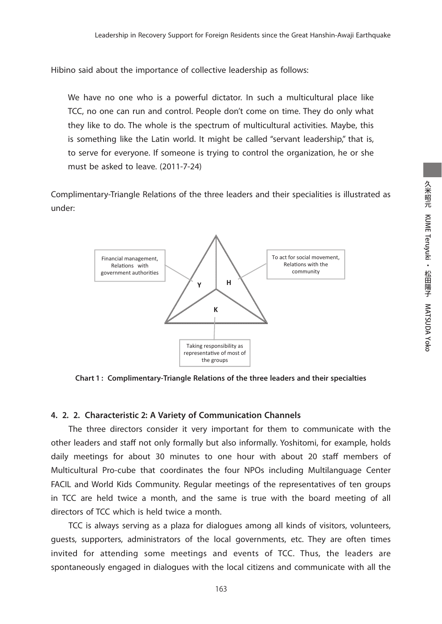Hibino said about the importance of collective leadership as follows:

We have no one who is a powerful dictator. In such a multicultural place like TCC, no one can run and control. People don't come on time. They do only what they like to do. The whole is the spectrum of multicultural activities. Maybe, this is something like the Latin world. It might be called "servant leadership," that is, to serve for everyone. If someone is trying to control the organization, he or she must be asked to leave. (2011-7-24)

Complimentary-Triangle Relations of the three leaders and their specialities is illustrated as under:



**Chart 1 : Complimentary‐Triangle Relations of the three leaders and their specialties**

#### **4. 2. 2. Characteristic 2: A Variety of Communication Channels**

 The three directors consider it very important for them to communicate with the other leaders and staff not only formally but also informally. Yoshitomi, for example, holds daily meetings for about 30 minutes to one hour with about 20 staff members of Multicultural Pro-cube that coordinates the four NPOs including Multilanguage Center FACIL and World Kids Community. Regular meetings of the representatives of ten groups in TCC are held twice a month, and the same is true with the board meeting of all directors of TCC which is held twice a month.

 TCC is always serving as a plaza for dialogues among all kinds of visitors, volunteers, guests, supporters, administrators of the local governments, etc. They are often times invited for attending some meetings and events of TCC. Thus, the leaders are spontaneously engaged in dialogues with the local citizens and communicate with all the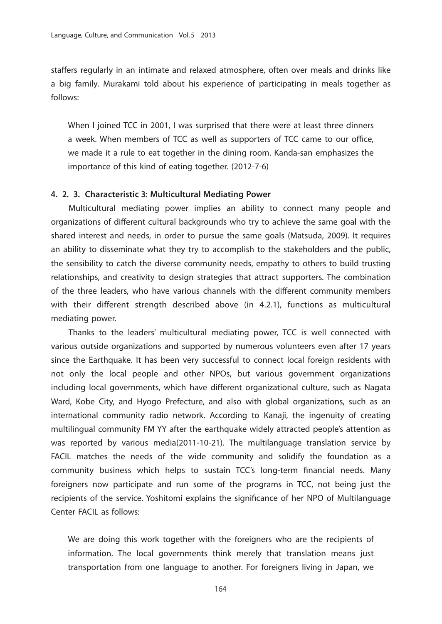staffers regularly in an intimate and relaxed atmosphere, often over meals and drinks like a big family. Murakami told about his experience of participating in meals together as follows:

When I joined TCC in 2001, I was surprised that there were at least three dinners a week. When members of TCC as well as supporters of TCC came to our office, we made it a rule to eat together in the dining room. Kanda-san emphasizes the importance of this kind of eating together. (2012-7-6)

#### **4. 2. 3. Characteristic 3: Multicultural Mediating Power**

 Multicultural mediating power implies an ability to connect many people and organizations of different cultural backgrounds who try to achieve the same goal with the shared interest and needs, in order to pursue the same goals (Matsuda, 2009). It requires an ability to disseminate what they try to accomplish to the stakeholders and the public, the sensibility to catch the diverse community needs, empathy to others to build trusting relationships, and creativity to design strategies that attract supporters. The combination of the three leaders, who have various channels with the different community members with their different strength described above (in 4.2.1), functions as multicultural mediating power.

 Thanks to the leaders' multicultural mediating power, TCC is well connected with various outside organizations and supported by numerous volunteers even after 17 years since the Earthquake. It has been very successful to connect local foreign residents with not only the local people and other NPOs, but various government organizations including local governments, which have different organizational culture, such as Nagata Ward, Kobe City, and Hyogo Prefecture, and also with global organizations, such as an international community radio network. According to Kanaji, the ingenuity of creating multilingual community FM YY after the earthquake widely attracted people's attention as was reported by various media(2011-10-21). The multilanguage translation service by FACIL matches the needs of the wide community and solidify the foundation as a community business which helps to sustain TCC's long-term financial needs. Many foreigners now participate and run some of the programs in TCC, not being just the recipients of the service. Yoshitomi explains the significance of her NPO of Multilanguage Center FACIL as follows:

We are doing this work together with the foreigners who are the recipients of information. The local governments think merely that translation means just transportation from one language to another. For foreigners living in Japan, we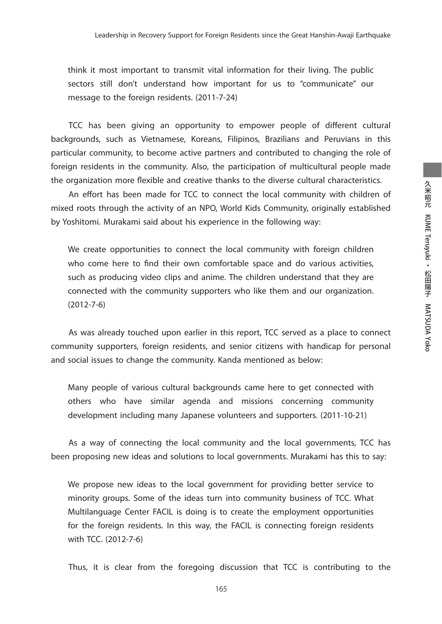think it most important to transmit vital information for their living. The public sectors still don't understand how important for us to "communicate" our message to the foreign residents. (2011-7-24)

TCC has been giving an opportunity to empower people of different cultural backgrounds, such as Vietnamese, Koreans, Filipinos, Brazilians and Peruvians in this particular community, to become active partners and contributed to changing the role of foreign residents in the community. Also, the participation of multicultural people made the organization more flexible and creative thanks to the diverse cultural characteristics.

An effort has been made for TCC to connect the local community with children of mixed roots through the activity of an NPO, World Kids Community, originally established by Yoshitomi. Murakami said about his experience in the following way:

We create opportunities to connect the local community with foreign children who come here to find their own comfortable space and do various activities, such as producing video clips and anime. The children understand that they are connected with the community supporters who like them and our organization. (2012-7-6)

 As was already touched upon earlier in this report, TCC served as a place to connect community supporters, foreign residents, and senior citizens with handicap for personal and social issues to change the community. Kanda mentioned as below:

Many people of various cultural backgrounds came here to get connected with others who have similar agenda and missions concerning community development including many Japanese volunteers and supporters. (2011-10-21)

 As a way of connecting the local community and the local governments, TCC has been proposing new ideas and solutions to local governments. Murakami has this to say:

We propose new ideas to the local government for providing better service to minority groups. Some of the ideas turn into community business of TCC. What Multilanguage Center FACIL is doing is to create the employment opportunities for the foreign residents. In this way, the FACIL is connecting foreign residents with TCC. (2012-7-6)

Thus, it is clear from the foregoing discussion that TCC is contributing to the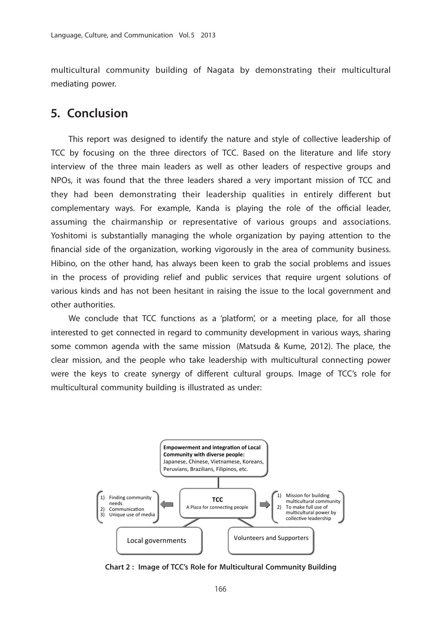multicultural community building of Nagata by demonstrating their multicultural mediating power.

## **5. Conclusion**

 This report was designed to identify the nature and style of collective leadership of TCC by focusing on the three directors of TCC. Based on the literature and life story interview of the three main leaders as well as other leaders of respective groups and NPOs, it was found that the three leaders shared a very important mission of TCC and they had been demonstrating their leadership qualities in entirely different but complementary ways. For example, Kanda is playing the role of the official leader, assuming the chairmanship or representative of various groups and associations. Yoshitomi is substantially managing the whole organization by paying attention to the financial side of the organization, working vigorously in the area of community business. Hibino, on the other hand, has always been keen to grab the social problems and issues in the process of providing relief and public services that require urgent solutions of various kinds and has not been hesitant in raising the issue to the local government and other authorities.

 We conclude that TCC functions as a 'platform', or a meeting place, for all those interested to get connected in regard to community development in various ways, sharing some common agenda with the same mission (Matsuda & Kume, 2012). The place, the clear mission, and the people who take leadership with multicultural connecting power were the keys to create synergy of different cultural groups. Image of TCC's role for multicultural community building is illustrated as under:



**Chart 2 : Image of TCC's Role for Multicultural Community Building**